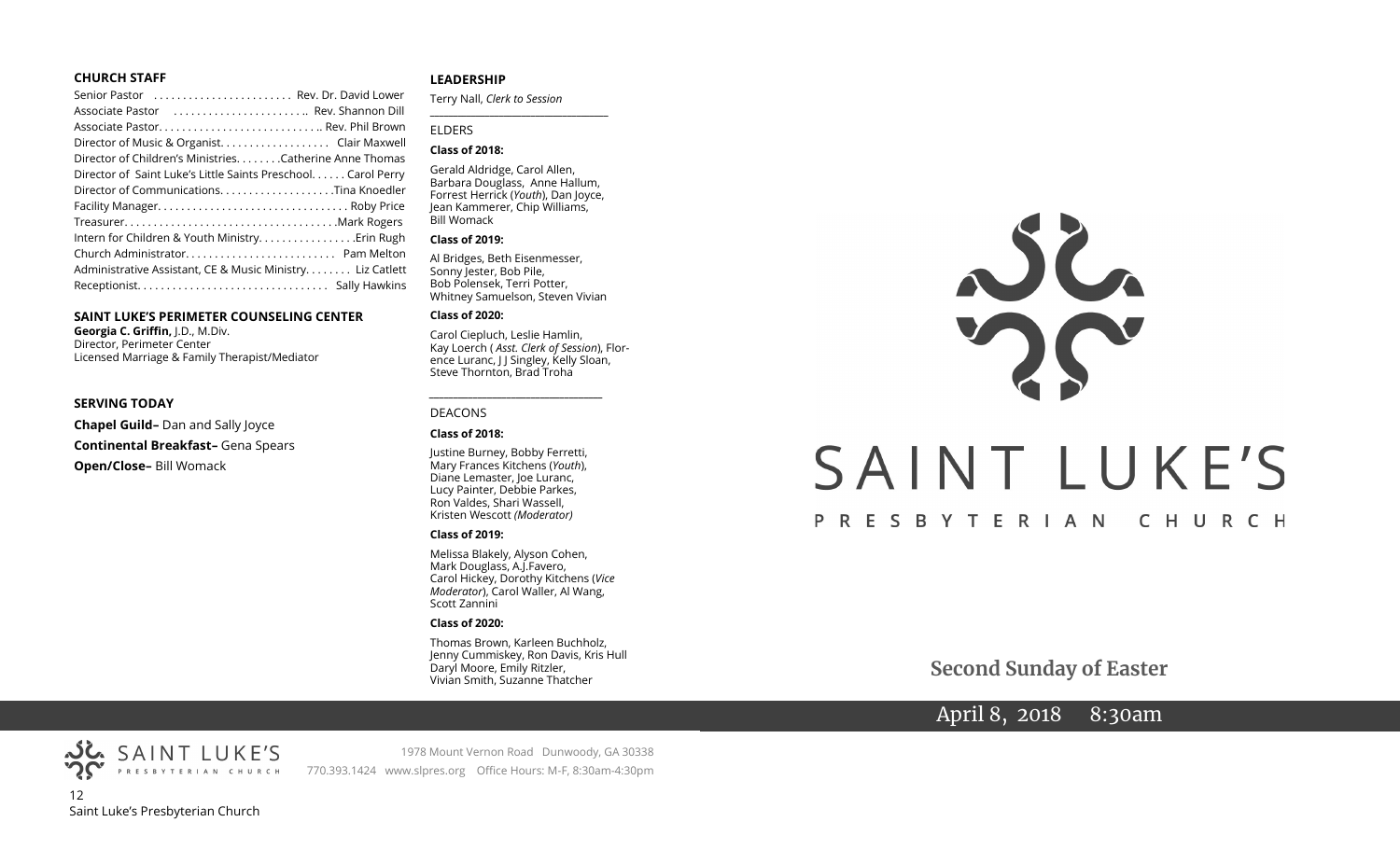#### **CHURCH STAFF**

| Senior Pastor  Rev. Dr. David Lower                           |  |
|---------------------------------------------------------------|--|
| Associate Pastor  Rev. Shannon Dill                           |  |
|                                                               |  |
| Director of Music & Organist. Clair Maxwell                   |  |
| Director of Children's Ministries. Catherine Anne Thomas      |  |
| Director of Saint Luke's Little Saints Preschool. Carol Perry |  |
|                                                               |  |
|                                                               |  |
|                                                               |  |
| Intern for Children & Youth Ministry Erin Rugh                |  |
|                                                               |  |
| Administrative Assistant, CE & Music Ministry. Liz Catlett    |  |
|                                                               |  |
|                                                               |  |

#### **SAINT LUKE'S PERIMETER COUNSELING CENTER**

**Georgia C. Griffin,** J.D., M.Div. Director, Perimeter Center Licensed Marriage & Family Therapist/Mediator

#### **SERVING TODAY**

**Chapel Guild–** Dan and Sally Joyce **Continental Breakfast–** Gena Spears

**Open/Close–** Bill Womack

#### **LEADERSHIP**

Terry Nall, *Clerk to Session* 

#### ELDERS

#### **Class of 2018:**

Gerald Aldridge, Carol Allen, Barbara Douglass, Anne Hallum, Forrest Herrick (*Youth*), Dan Joyce, Jean Kammerer, Chip Williams, Bill Womack

**\_\_\_\_\_\_\_\_\_\_\_\_\_\_\_\_\_\_\_\_\_\_\_\_\_\_\_\_\_\_\_\_\_\_\_\_\_\_\_**

#### **Class of 2019:**

Al Bridges, Beth Eisenmesser, Sonny Jester, Bob Pile, Bob Polensek, Terri Potter, Whitney Samuelson, Steven Vivian

#### **Class of 2020:**

Carol Ciepluch, Leslie Hamlin, Kay Loerch ( *Asst. Clerk of Session*), Florence Luranc, J J Singley, Kelly Sloan, Steve Thornton, Brad Troha

*\_\_\_\_\_\_\_\_\_\_\_\_\_\_\_\_\_\_\_\_\_\_\_\_\_\_\_\_\_\_\_\_\_\_\_\_*

#### DEACONS

#### **Class of 2018:**

Justine Burney, Bobby Ferretti, Mary Frances Kitchens (*Youth*), Diane Lemaster, Joe Luranc, Lucy Painter, Debbie Parkes, Ron Valdes, Shari Wassell, Kristen Wescott *(Moderator)*

#### **Class of 2019:**

Melissa Blakely, Alyson Cohen, Mark Douglass, A.J.Favero, Carol Hickey, Dorothy Kitchens (*Vice Moderator*), Carol Waller, Al Wang, Scott Zannini

#### **Class of 2020:**

Thomas Brown, Karleen Buchholz, Jenny Cummiskey, Ron Davis, Kris Hull Daryl Moore, Emily Ritzler, Vivian Smith, Suzanne Thatcher

# NC. SAINT LUKE'S PRESBYTERIAN CHURCH

**Second Sunday of Easter**

# April 8, 2018 8:30am

PRESBYTERIAN CHURCH 12 Saint Luke's Presbyterian Church

SAINT LUKE'S

1978 Mount Vernon Road Dunwoody, GA 30338 770.393.1424 www.slpres.org Office Hours: M-F, 8:30am-4:30pm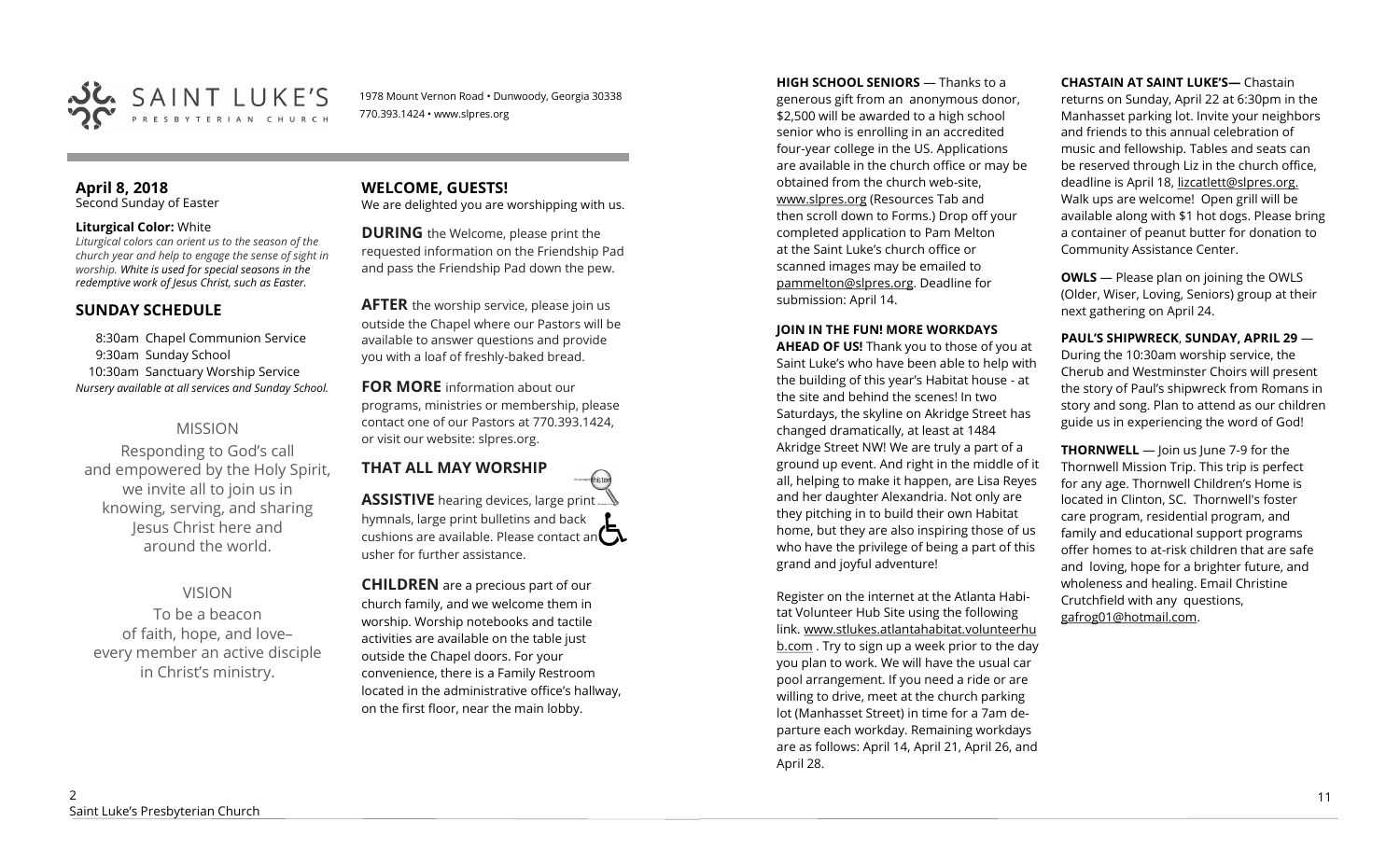

1978 Mount Vernon Road • Dunwoody, Georgia 30338 770.393.1424 • www.slpres.org

#### **April 8, 2018**  Second Sunday of Easter

#### **Liturgical Color:** White

*Liturgical colors can orient us to the season of the church year and help to engage the sense of sight in worship. White is used for special seasons in the redemptive work of Jesus Christ, such as Easter.* 

#### **SUNDAY SCHEDULE**

8:30am Chapel Communion Service 9:30am Sunday School 10:30am Sanctuary Worship Service *Nursery available at all services and Sunday School.* 

#### MISSION

Responding to God's call and empowered by the Holy Spirit, we invite all to join us in knowing, serving, and sharing Jesus Christ here and around the world.

#### VISION

To be a beacon of faith, hope, and love– every member an active disciple in Christ's ministry.

#### **WELCOME, GUESTS!**  We are delighted you are worshipping with us.

**DURING** the Welcome, please print the requested information on the Friendship Pad and pass the Friendship Pad down the pew.

**AFTER** the worship service, please join us outside the Chapel where our Pastors will be available to answer questions and provide you with a loaf of freshly-baked bread.

**FOR MORE** information about our programs, ministries or membership, please contact one of our Pastors at 770.393.1424, or visit our website: slpres.org.

# **THAT ALL MAY WORSHIP ASSISTIVE** hearing devices, large print...

hymnals, large print bulletins and back cushions are available. Please contact an  $\mathbf{\Omega}$ usher for further assistance.

thisted

**CHILDREN** are a precious part of our church family, and we welcome them in worship. Worship notebooks and tactile activities are available on the table just outside the Chapel doors. For your convenience, there is a Family Restroom located in the administrative office's hallway, on the first floor, near the main lobby.

**HIGH SCHOOL SENIORS** — Thanks to a generous gift from an anonymous donor, \$2,500 will be awarded to a high school senior who is enrolling in an accredited four-year college in the US. Applications are available in the church office or may be obtained from the church web-site, www.slpres.org (Resources Tab and then scroll down to Forms.) Drop off your completed application to Pam Melton at the Saint Luke's church office or scanned images may be emailed to [pammelton@slpres.org.](mailto:pammelton@slpres.org) Deadline for submission: April 14.

#### **JOIN IN THE FUN! MORE WORKDAYS**

**AHEAD OF US!** Thank you to those of you at Saint Luke's who have been able to help with the building of this year's Habitat house - at the site and behind the scenes! In two Saturdays, the skyline on Akridge Street has changed dramatically, at least at 1484 Akridge Street NW! We are truly a part of a ground up event. And right in the middle of it all, helping to make it happen, are Lisa Reyes and her daughter Alexandria. Not only are they pitching in to build their own Habitat home, but they are also inspiring those of us who have the privilege of being a part of this grand and joyful adventure!

Register on the internet at the Atlanta Habitat Volunteer Hub Site using the following link. [www.stlukes.atlantahabitat.volunteerhu](http://www.stlukes.atlantahabitat.volunteerhub.com/) [b.com](http://www.stlukes.atlantahabitat.volunteerhub.com/) . Try to sign up a week prior to the day you plan to work. We will have the usual car pool arrangement. If you need a ride or are willing to drive, meet at the church parking lot (Manhasset Street) in time for a 7am departure each workday. Remaining workdays are as follows: April 14, April 21, April 26, and April 28.

#### **CHASTAIN AT SAINT LUKE'S—** Chastain

returns on Sunday, April 22 at 6:30pm in the Manhasset parking lot. Invite your neighbors and friends to this annual celebration of music and fellowship. Tables and seats can be reserved through Liz in the church office, deadline is April 18, lizcatlett@slpres.org. Walk ups are welcome! Open grill will be available along with \$1 hot dogs. Please bring a container of peanut butter for donation to Community Assistance Center.

**OWLS** — Please plan on joining the OWLS (Older, Wiser, Loving, Seniors) group at their next gathering on April 24.

**PAUL'S SHIPWRECK**, **SUNDAY, APRIL 29** — During the 10:30am worship service, the Cherub and Westminster Choirs will present the story of Paul's shipwreck from Romans in story and song. Plan to attend as our children guide us in experiencing the word of God!

**THORNWELL** — Join us June 7-9 for the Thornwell Mission Trip. This trip is perfect for any age. Thornwell Children's Home is located in Clinton, SC. Thornwell's foster care program, residential program, and family and educational support programs offer homes to at-risk children that are safe and loving, hope for a brighter future, and wholeness and healing. Email Christine Crutchfield with any questions, gafrog01@hotmail.com.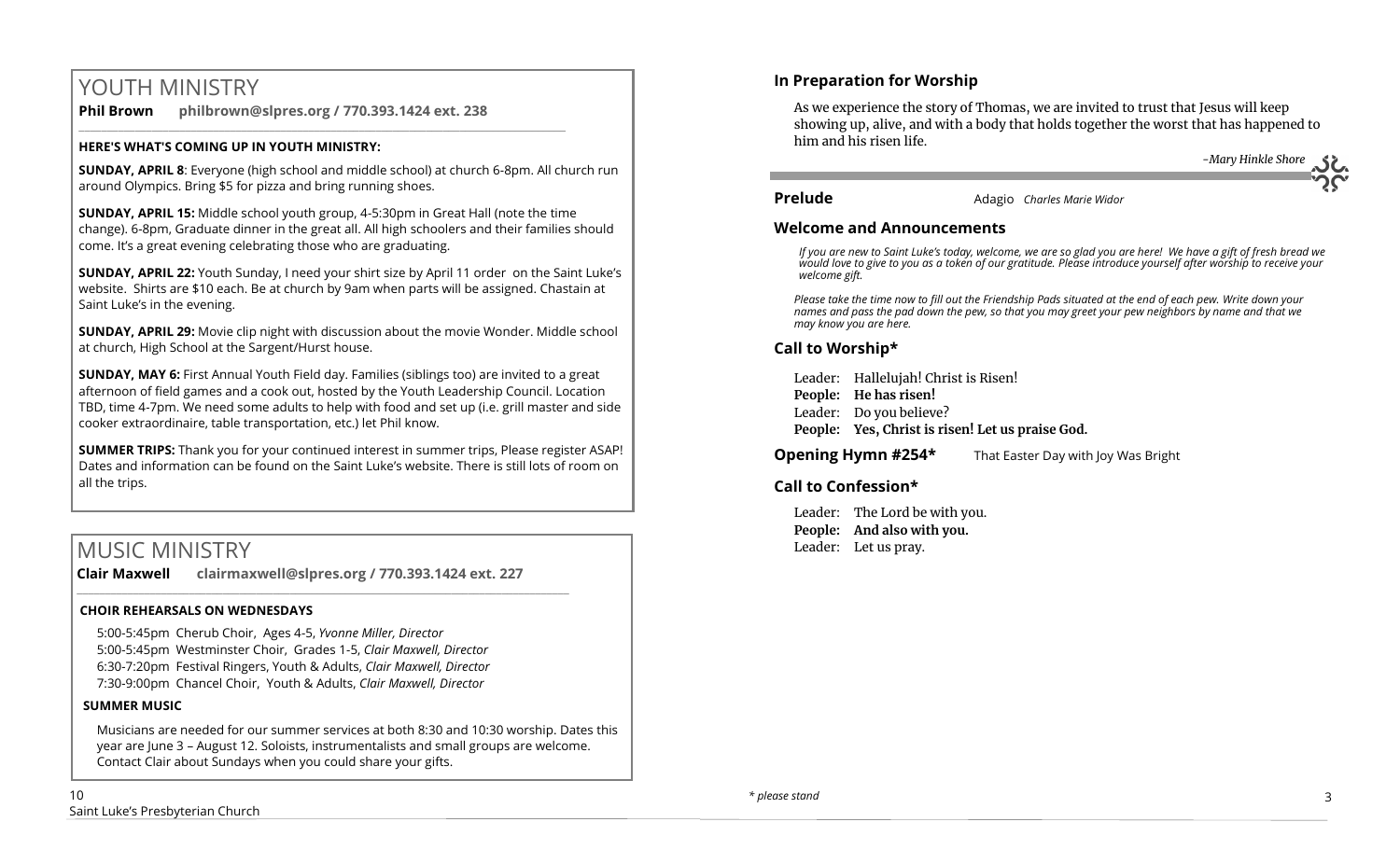# YOUTH MINISTRY

**Phil Brown philbrown@slpres.org / 770.393.1424 ext. 238**  \_\_\_\_\_\_\_\_\_\_\_\_\_\_\_\_\_\_\_\_\_\_\_\_\_\_\_\_\_\_\_\_\_\_\_\_\_\_\_\_\_\_\_\_\_\_\_\_\_\_\_\_\_\_\_\_\_\_\_\_\_\_\_\_\_\_\_\_\_\_\_\_\_\_\_\_\_\_\_\_\_\_\_\_\_\_\_

#### **HERE'S WHAT'S COMING UP IN YOUTH MINISTRY:**

**SUNDAY, APRIL 8**: Everyone (high school and middle school) at church 6-8pm. All church run around Olympics. Bring \$5 for pizza and bring running shoes.

**SUNDAY, APRIL 15:** Middle school youth group, 4-5:30pm in Great Hall (note the time change). 6-8pm, Graduate dinner in the great all. All high schoolers and their families should come. It's a great evening celebrating those who are graduating.

**SUNDAY, APRIL 22:** Youth Sunday, I need your shirt size by April 11 order on the Saint Luke's website. Shirts are \$10 each. Be at church by 9am when parts will be assigned. Chastain at Saint Luke's in the evening.

**SUNDAY, APRIL 29:** Movie clip night with discussion about the movie Wonder. Middle school at church, High School at the Sargent/Hurst house.

**SUNDAY, MAY 6:** First Annual Youth Field day. Families (siblings too) are invited to a great afternoon of field games and a cook out, hosted by the Youth Leadership Council. Location TBD, time 4-7pm. We need some adults to help with food and set up (i.e. grill master and side cooker extraordinaire, table transportation, etc.) let Phil know.

**SUMMER TRIPS:** Thank you for your continued interest in summer trips, Please register ASAP! Dates and information can be found on the Saint Luke's website. There is still lots of room on all the trips.

# MUSIC MINISTRY

**Clair Maxwell clairmaxwell@slpres.org / 770.393.1424 ext. 227**   $\_$  , and the set of the set of the set of the set of the set of the set of the set of the set of the set of the set of the set of the set of the set of the set of the set of the set of the set of the set of the set of th

#### **CHOIR REHEARSALS ON WEDNESDAYS**

5:00-5:45pm Cherub Choir, Ages 4-5, *Yvonne Miller, Director*  5:00-5:45pm Westminster Choir, Grades 1-5, *Clair Maxwell, Director*  6:30-7:20pm Festival Ringers, Youth & Adults, *Clair Maxwell, Director*  7:30-9:00pm Chancel Choir, Youth & Adults, *Clair Maxwell, Director* 

#### **SUMMER MUSIC**

Musicians are needed for our summer services at both 8:30 and 10:30 worship. Dates this year are June 3 – August 12. Soloists, instrumentalists and small groups are welcome. Contact Clair about Sundays when you could share your gifts.

As we experience the story of Thomas, we are invited to trust that Jesus will keep showing up, alive, and with a body that holds together the worst that has happened to him and his risen life.

 *-Mary Hinkle Shore*

**Prelude** Adagio *Charles Marie Widor* 

#### **Welcome and Announcements**

*If you are new to Saint Luke's today, welcome, we are so glad you are here! We have a gift of fresh bread we would love to give to you as a token of our gratitude. Please introduce yourself after worship to receive your welcome gift.*

*Please take the time now to fill out the Friendship Pads situated at the end of each pew. Write down your names and pass the pad down the pew, so that you may greet your pew neighbors by name and that we may know you are here.*

## **Call to Worship\***

Leader: Hallelujah! Christ is Risen! **People: He has risen!** Leader: Do you believe? **People: Yes, Christ is risen! Let us praise God.** 

**Opening Hymn #254\*** That Easter Day with Joy Was Bright

#### **Call to Confession\***

Leader: The Lord be with you. **People: And also with you.** Leader: Let us pray.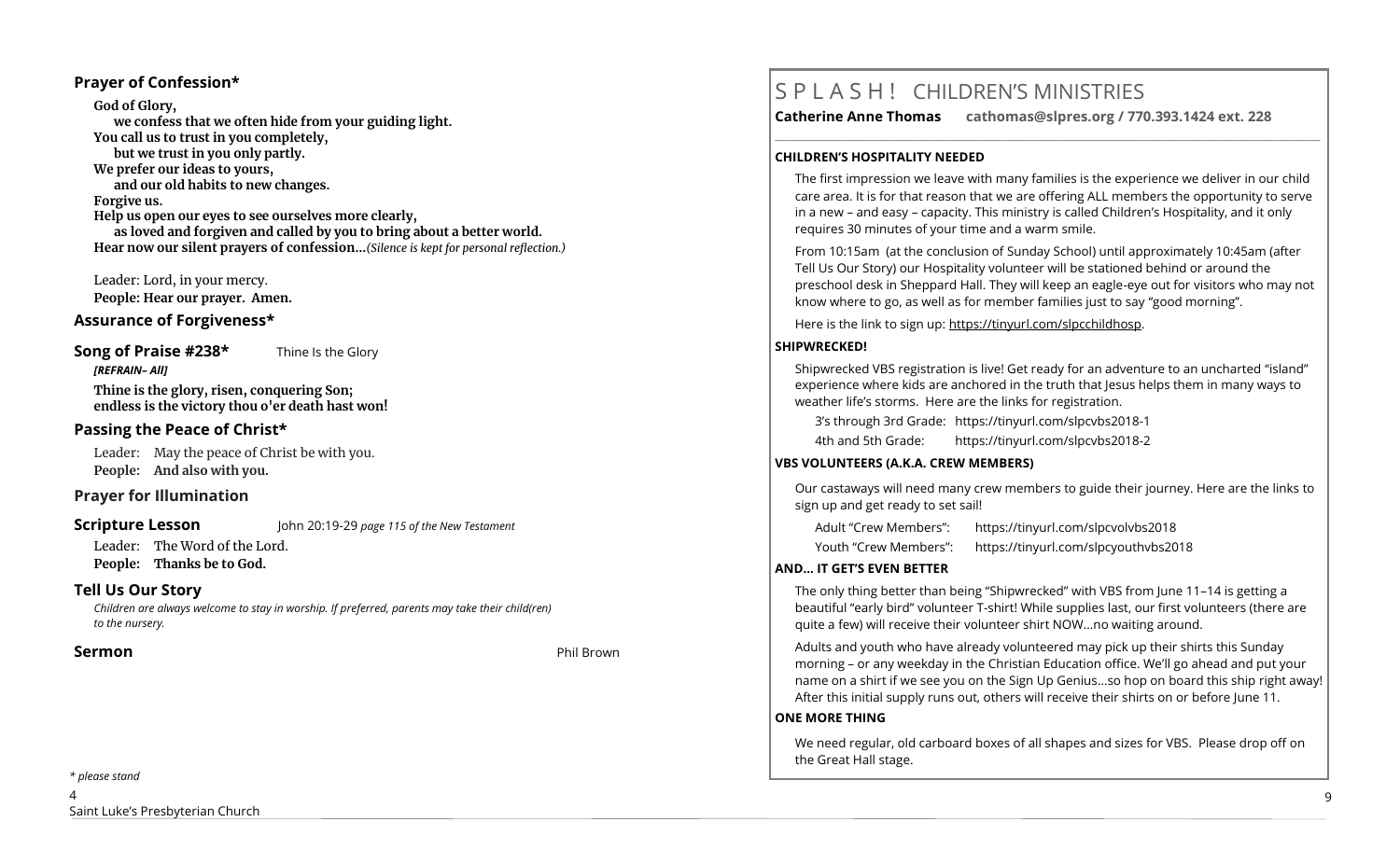#### **Prayer of Confession\***

**God of Glory, we confess that we often hide from your guiding light. You call us to trust in you completely, but we trust in you only partly. We prefer our ideas to yours, and our old habits to new changes. Forgive us. Help us open our eyes to see ourselves more clearly, as loved and forgiven and called by you to bring about a better world. Hear now our silent prayers of confession…***(Silence is kept for personal reflection.)*

Leader: Lord, in your mercy. **People: Hear our prayer. Amen.**

#### **Assurance of Forgiveness\***

#### **Song of Praise #238\*** Thine Is the Glory *[REFRAIN– All]*

**Thine is the glory, risen, conquering Son; endless is the victory thou o'er death hast won!**

#### **Passing the Peace of Christ\***

Leader: May the peace of Christ be with you. **People: And also with you.** 

#### **Prayer for Illumination**

**Scripture Lesson** John 20:19-29 *page 115 of the New Testament* 

Leader: The Word of the Lord. **People: Thanks be to God.**

#### **Tell Us Our Story**

*Children are always welcome to stay in worship. If preferred, parents may take their child(ren) to the nursery.*

#### **Sermon** Phil Brown

#### *\* please stand*

4 Saint Luke's Presbyterian Church

# S P L A S H ! CHILDREN'S MINISTRIES

**Catherine Anne Thomas cathomas@slpres.org / 770.393.1424 ext. 228** 

**\_\_\_\_\_\_\_\_\_\_\_\_\_\_\_\_\_\_\_\_\_\_\_\_\_\_\_\_\_\_\_\_\_\_\_\_\_\_\_\_\_\_\_\_\_\_\_\_\_\_\_\_\_\_\_\_\_\_\_\_\_\_\_\_\_\_\_\_\_\_\_\_\_\_\_\_\_\_\_\_\_\_\_\_\_\_\_\_\_\_\_\_\_\_\_\_\_\_\_\_\_\_\_\_\_\_** 

#### **CHILDREN'S HOSPITALITY NEEDED**

The first impression we leave with many families is the experience we deliver in our child care area. It is for that reason that we are offering ALL members the opportunity to serve in a new – and easy – capacity. This ministry is called Children's Hospitality, and it only requires 30 minutes of your time and a warm smile.

From 10:15am (at the conclusion of Sunday School) until approximately 10:45am (after Tell Us Our Story) our Hospitality volunteer will be stationed behind or around the preschool desk in Sheppard Hall. They will keep an eagle-eye out for visitors who may not know where to go, as well as for member families just to say "good morning".

Here is the link to sign up: https://tinyurl.com/slpcchildhosp.

#### **SHIPWRECKED!**

Shipwrecked VBS registration is live! Get ready for an adventure to an uncharted "island" experience where kids are anchored in the truth that Jesus helps them in many ways to weather life's storms. Here are the links for registration.

3's through 3rd Grade: https://tinyurl.com/slpcvbs2018-1

4th and 5th Grade: https://tinyurl.com/slpcvbs2018-2

#### **VBS VOLUNTEERS (A.K.A. CREW MEMBERS)**

Our castaways will need many crew members to guide their journey. Here are the links to sign up and get ready to set sail!

Adult "Crew Members": https://tinyurl.com/slpcvolvbs2018 Youth "Crew Members": https://tinyurl.com/slpcyouthvbs2018

#### **AND... IT GET'S EVEN BETTER**

The only thing better than being "Shipwrecked" with VBS from June 11–14 is getting a beautiful "early bird" volunteer T-shirt! While supplies last, our first volunteers (there are quite a few) will receive their volunteer shirt NOW…no waiting around.

Adults and youth who have already volunteered may pick up their shirts this Sunday morning – or any weekday in the Christian Education office. We'll go ahead and put your name on a shirt if we see you on the Sign Up Genius…so hop on board this ship right away! After this initial supply runs out, others will receive their shirts on or before June 11.

#### **ONE MORE THING**

We need regular, old carboard boxes of all shapes and sizes for VBS. Please drop off on the Great Hall stage.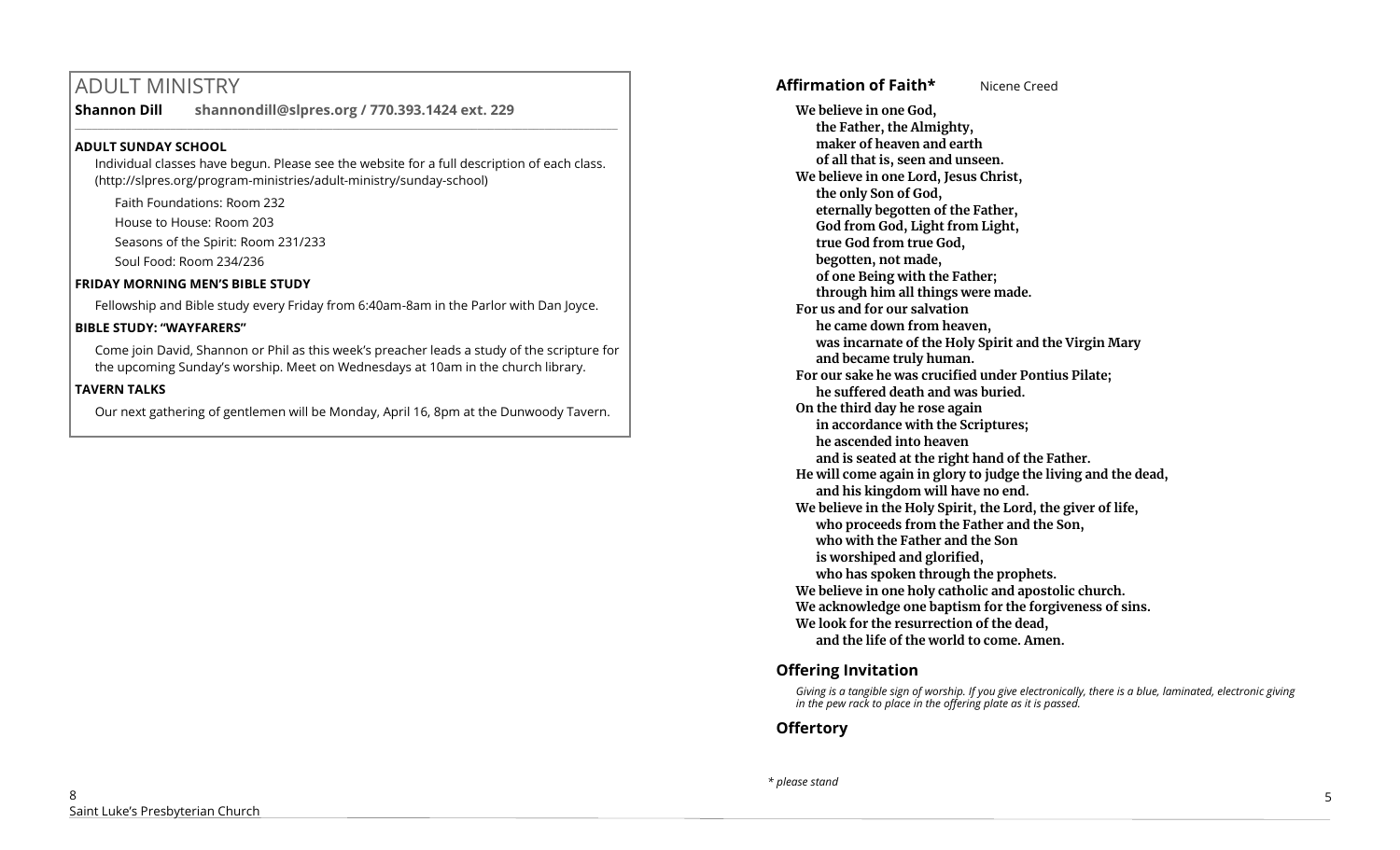# ADULT MINISTRY

**Shannon Dill shannondill@slpres.org / 770.393.1424 ext. 229** 

#### **ADULT SUNDAY SCHOOL**

Individual classes have begun. Please see the website for a full description of each class. (http://slpres.org/program-ministries/adult-ministry/sunday-school)

 $\_$  ,  $\_$  ,  $\_$  ,  $\_$  ,  $\_$  ,  $\_$  ,  $\_$  ,  $\_$  ,  $\_$  ,  $\_$  ,  $\_$  ,  $\_$  ,  $\_$  ,  $\_$  ,  $\_$  ,  $\_$  ,  $\_$  ,  $\_$  ,  $\_$ 

Faith Foundations: Room 232

House to House: Room 203

Seasons of the Spirit: Room 231/233

Soul Food: Room 234/236

#### **FRIDAY MORNING MEN'S BIBLE STUDY**

Fellowship and Bible study every Friday from 6:40am-8am in the Parlor with Dan Joyce.

#### **BIBLE STUDY: "WAYFARERS"**

Come join David, Shannon or Phil as this week's preacher leads a study of the scripture for the upcoming Sunday's worship. Meet on Wednesdays at 10am in the church library.

#### **TAVERN TALKS**

Our next gathering of gentlemen will be Monday, April 16, 8pm at the Dunwoody Tavern.

## **Affirmation of Faith\*** Nicene Creed

**We believe in one God, the Father, the Almighty, maker of heaven and earth of all that is, seen and unseen. We believe in one Lord, Jesus Christ, the only Son of God, eternally begotten of the Father, God from God, Light from Light, true God from true God, begotten, not made, of one Being with the Father; through him all things were made. For us and for our salvation he came down from heaven, was incarnate of the Holy Spirit and the Virgin Mary and became truly human. For our sake he was crucified under Pontius Pilate; he suffered death and was buried. On the third day he rose again in accordance with the Scriptures; he ascended into heaven and is seated at the right hand of the Father. He will come again in glory to judge the living and the dead, and his kingdom will have no end. We believe in the Holy Spirit, the Lord, the giver of life, who proceeds from the Father and the Son, who with the Father and the Son is worshiped and glorified, who has spoken through the prophets. We believe in one holy catholic and apostolic church. We acknowledge one baptism for the forgiveness of sins. We look for the resurrection of the dead, and the life of the world to come. Amen.**

## **Offering Invitation**

*Giving is a tangible sign of worship. If you give electronically, there is a blue, laminated, electronic giving in the pew rack to place in the offering plate as it is passed.*

## **Offertory**